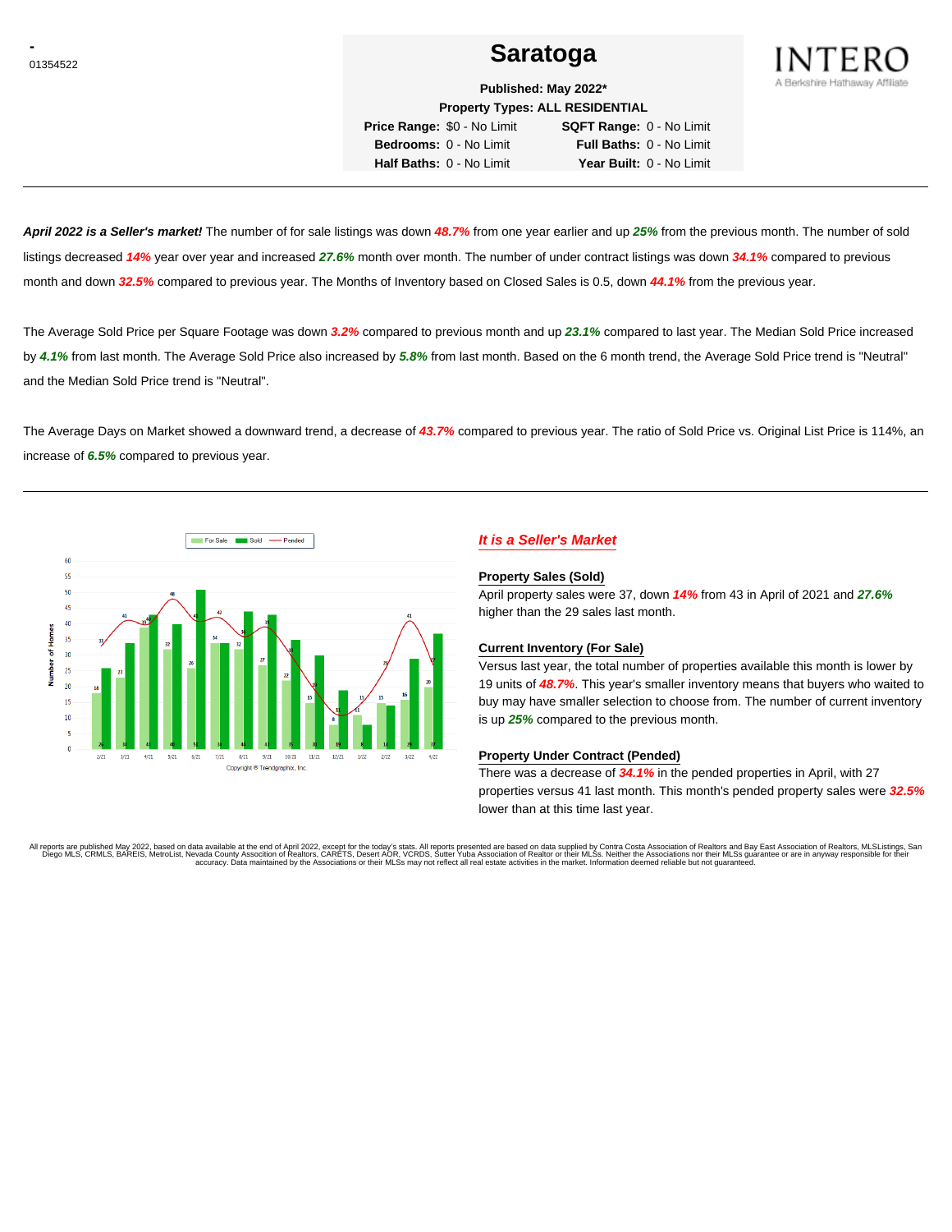# <u>01354522</u> and the set of the set of the set of the set of the Saratoga set of the set of the set of the set of the set of the set of the set of the set of the set of the set of the set of the set of the set of the set of



**Published: May 2022\* Property Types: ALL RESIDENTIAL**

**Price Range:** \$0 - No Limit **SQFT Range:** 0 - No Limit **Bedrooms:** 0 - No Limit **Full Baths:** 0 - No Limit **Half Baths:** 0 - No Limit **Year Built:** 0 - No Limit

**April 2022 is a Seller's market!** The number of for sale listings was down **48.7%** from one year earlier and up **25%** from the previous month. The number of sold listings decreased **14%** year over year and increased **27.6%** month over month. The number of under contract listings was down **34.1%** compared to previous month and down **32.5%** compared to previous year. The Months of Inventory based on Closed Sales is 0.5, down **44.1%** from the previous year.

The Average Sold Price per Square Footage was down **3.2%** compared to previous month and up **23.1%** compared to last year. The Median Sold Price increased by **4.1%** from last month. The Average Sold Price also increased by **5.8%** from last month. Based on the 6 month trend, the Average Sold Price trend is "Neutral" and the Median Sold Price trend is "Neutral".

The Average Days on Market showed a downward trend, a decrease of **43.7%** compared to previous year. The ratio of Sold Price vs. Original List Price is 114%, an increase of **6.5%** compared to previous year.



# **It is a Seller's Market**

#### **Property Sales (Sold)**

April property sales were 37, down **14%** from 43 in April of 2021 and **27.6%** higher than the 29 sales last month.

### **Current Inventory (For Sale)**

Versus last year, the total number of properties available this month is lower by 19 units of **48.7%**. This year's smaller inventory means that buyers who waited to buy may have smaller selection to choose from. The number of current inventory is up **25%** compared to the previous month.

### **Property Under Contract (Pended)**

There was a decrease of **34.1%** in the pended properties in April, with 27 properties versus 41 last month. This month's pended property sales were **32.5%** lower than at this time last year.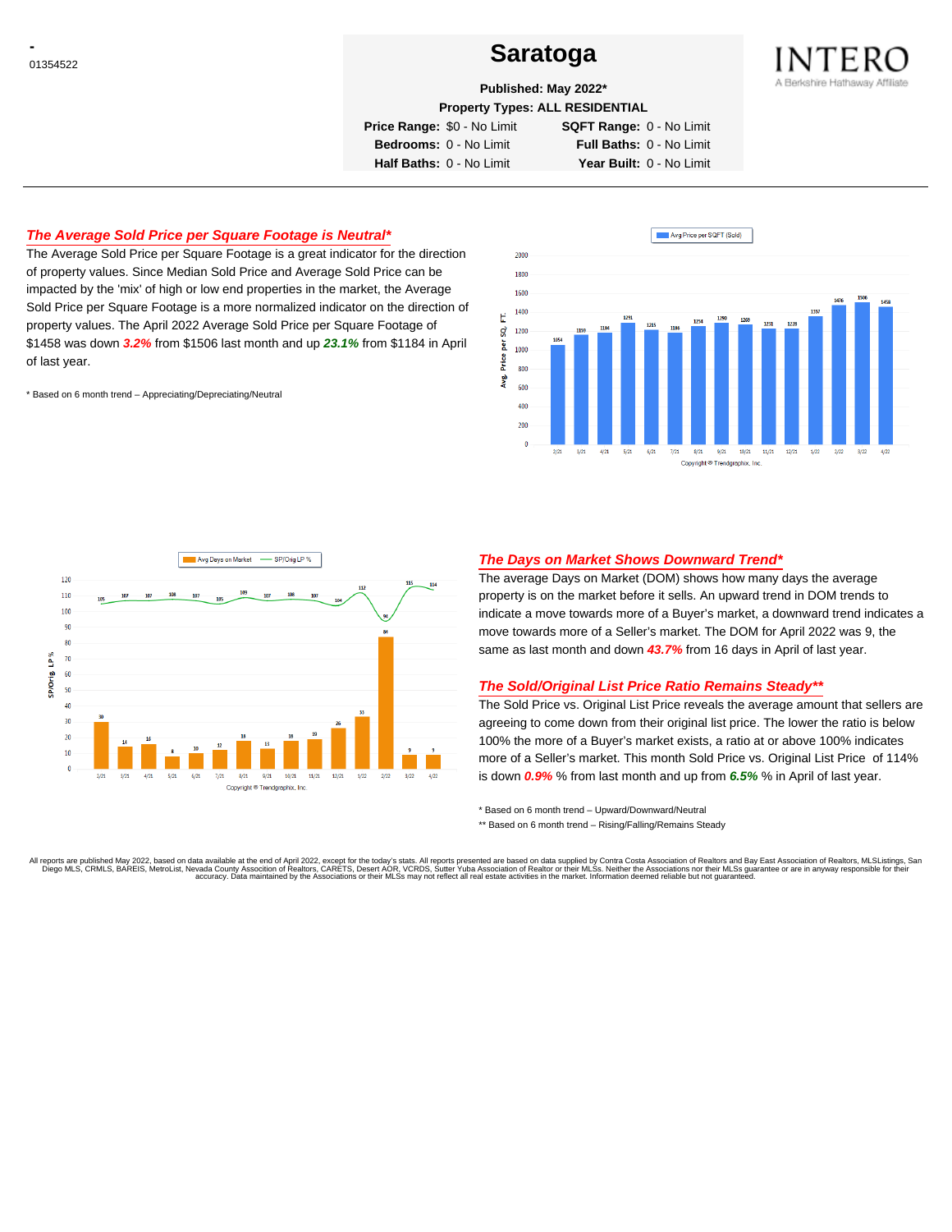# <sup>01354522</sup> **Saratoga**



# **Published: May 2022\***

**Property Types: ALL RESIDENTIAL**

**Price Range:** \$0 - No Limit **SQFT Range:** 0 - No Limit

**Bedrooms:** 0 - No Limit **Full Baths:** 0 - No Limit **Half Baths:** 0 - No Limit **Year Built:** 0 - No Limit

# **The Average Sold Price per Square Footage is Neutral\***

The Average Sold Price per Square Footage is a great indicator for the direction of property values. Since Median Sold Price and Average Sold Price can be impacted by the 'mix' of high or low end properties in the market, the Average Sold Price per Square Footage is a more normalized indicator on the direction of property values. The April 2022 Average Sold Price per Square Footage of \$1458 was down **3.2%** from \$1506 last month and up **23.1%** from \$1184 in April of last year.

\* Based on 6 month trend – Appreciating/Depreciating/Neutral





## **The Days on Market Shows Downward Trend\***

The average Days on Market (DOM) shows how many days the average property is on the market before it sells. An upward trend in DOM trends to indicate a move towards more of a Buyer's market, a downward trend indicates a move towards more of a Seller's market. The DOM for April 2022 was 9, the same as last month and down **43.7%** from 16 days in April of last year.

#### **The Sold/Original List Price Ratio Remains Steady\*\***

The Sold Price vs. Original List Price reveals the average amount that sellers are agreeing to come down from their original list price. The lower the ratio is below 100% the more of a Buyer's market exists, a ratio at or above 100% indicates more of a Seller's market. This month Sold Price vs. Original List Price of 114% is down **0.9%** % from last month and up from **6.5%** % in April of last year.

\* Based on 6 month trend – Upward/Downward/Neutral

\*\* Based on 6 month trend - Rising/Falling/Remains Steady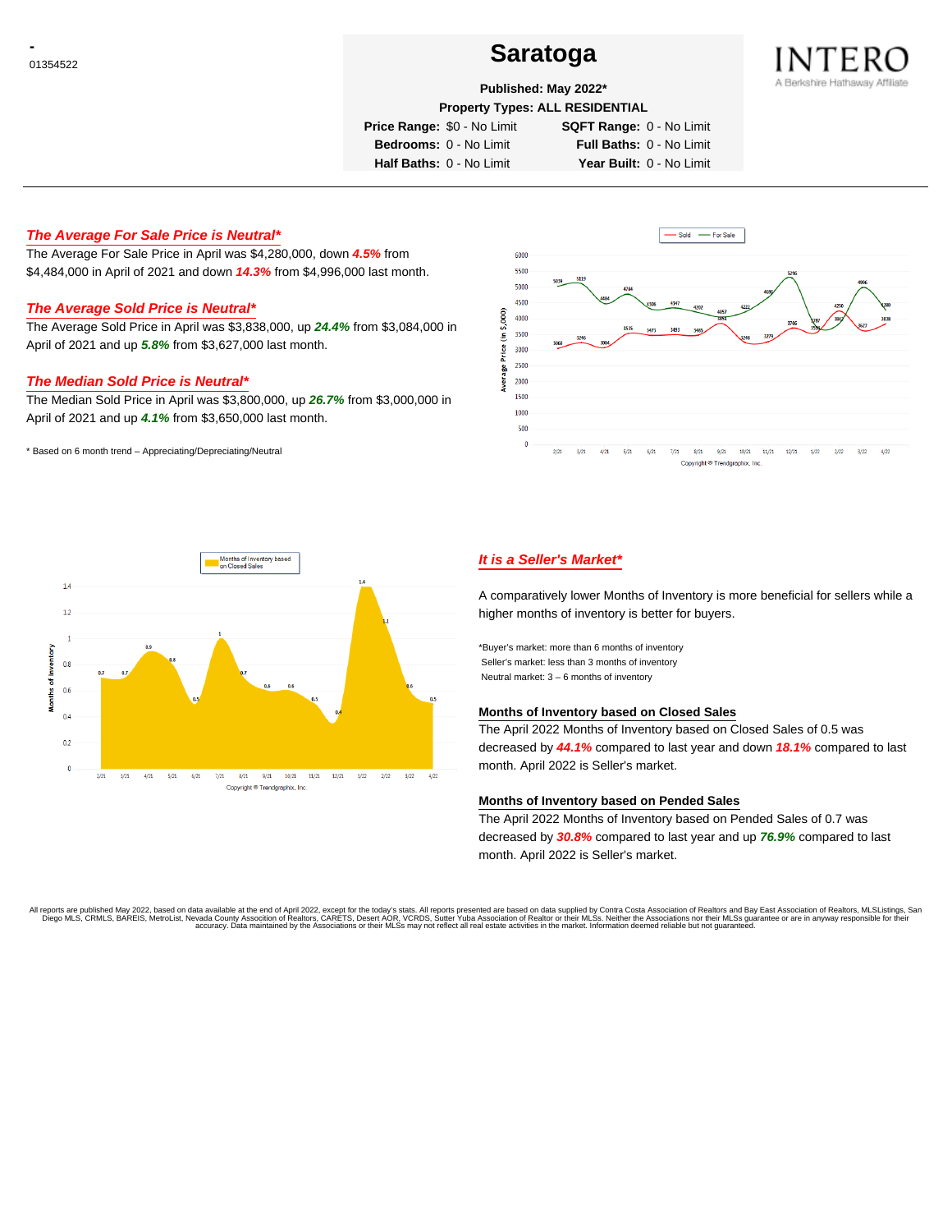# <sup>01354522</sup> **Saratoga**



## **Published: May 2022\***

**Property Types: ALL RESIDENTIAL**

**Price Range:** \$0 - No Limit **SQFT Range:** 0 - No Limit

**Bedrooms:** 0 - No Limit **Full Baths:** 0 - No Limit **Half Baths:** 0 - No Limit **Year Built:** 0 - No Limit

## **The Average For Sale Price is Neutral\***

The Average For Sale Price in April was \$4,280,000, down **4.5%** from \$4,484,000 in April of 2021 and down **14.3%** from \$4,996,000 last month.

# **The Average Sold Price is Neutral\***

The Average Sold Price in April was \$3,838,000, up **24.4%** from \$3,084,000 in April of 2021 and up **5.8%** from \$3,627,000 last month.

### **The Median Sold Price is Neutral\***

The Median Sold Price in April was \$3,800,000, up **26.7%** from \$3,000,000 in April of 2021 and up **4.1%** from \$3,650,000 last month.

\* Based on 6 month trend – Appreciating/Depreciating/Neutral





# **It is a Seller's Market\***

A comparatively lower Months of Inventory is more beneficial for sellers while a higher months of inventory is better for buyers.

\*Buyer's market: more than 6 months of inventory Seller's market: less than 3 months of inventory Neutral market: 3 – 6 months of inventory

#### **Months of Inventory based on Closed Sales**

The April 2022 Months of Inventory based on Closed Sales of 0.5 was decreased by **44.1%** compared to last year and down **18.1%** compared to last month. April 2022 is Seller's market.

#### **Months of Inventory based on Pended Sales**

The April 2022 Months of Inventory based on Pended Sales of 0.7 was decreased by **30.8%** compared to last year and up **76.9%** compared to last month. April 2022 is Seller's market.